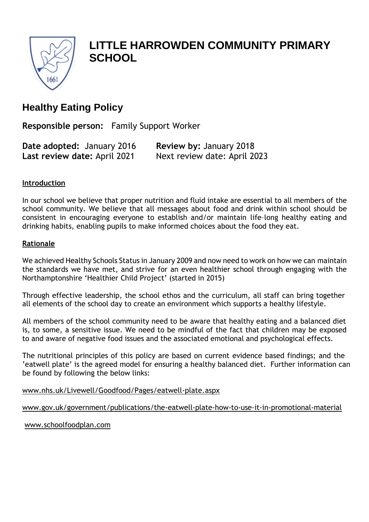

# **LITTLE HARROWDEN COMMUNITY PRIMARY SCHOOL**

## **Healthy Eating Policy**

**Responsible person:** Family Support Worker

| Date adopted: January 2016   | Review by: January 2018      |
|------------------------------|------------------------------|
| Last review date: April 2021 | Next review date: April 2023 |

## **Introduction**

In our school we believe that proper nutrition and fluid intake are essential to all members of the school community. We believe that all messages about food and drink within school should be consistent in encouraging everyone to establish and/or maintain life–long healthy eating and drinking habits, enabling pupils to make informed choices about the food they eat.

## **Rationale**

We achieved Healthy Schools Status in January 2009 and now need to work on how we can maintain the standards we have met, and strive for an even healthier school through engaging with the Northamptonshire 'Healthier Child Project' (started in 2015)

Through effective leadership, the school ethos and the curriculum, all staff can bring together all elements of the school day to create an environment which supports a healthy lifestyle.

All members of the school community need to be aware that healthy eating and a balanced diet is, to some, a sensitive issue. We need to be mindful of the fact that children may be exposed to and aware of negative food issues and the associated emotional and psychological effects.

The nutritional principles of this policy are based on current evidence based findings; and the 'eatwell plate' is the agreed model for ensuring a healthy balanced diet. Further information can be found by following the below links:

[www.nhs.uk/Livewell/Goodfood/Pages/eatwell-plate.aspx](http://www.nhs.uk/Livewell/Goodfood/Pages/eatwell-plate.aspx)

[www.gov.uk/government/publications/the-eatwell-plate-how-to-use-it-in-promotional-material](http://www.gov.uk/government/publications/the-eatwell-plate-how-to-use-it-in-promotional-material)

[www.schoolfoodplan.com](http://www.schoolfoodplan.com/)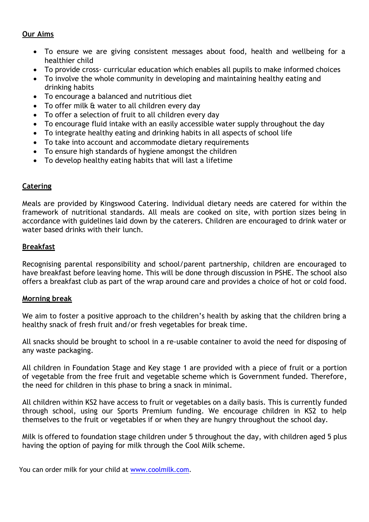#### **Our Aims**

- To ensure we are giving consistent messages about food, health and wellbeing for a healthier child
- To provide cross- curricular education which enables all pupils to make informed choices
- To involve the whole community in developing and maintaining healthy eating and drinking habits
- To encourage a balanced and nutritious diet
- To offer milk & water to all children every day
- To offer a selection of fruit to all children every day
- To encourage fluid intake with an easily accessible water supply throughout the day
- To integrate healthy eating and drinking habits in all aspects of school life
- To take into account and accommodate dietary requirements
- To ensure high standards of hygiene amongst the children
- To develop healthy eating habits that will last a lifetime

## **Catering**

Meals are provided by Kingswood Catering. Individual dietary needs are catered for within the framework of nutritional standards. All meals are cooked on site, with portion sizes being in accordance with guidelines laid down by the caterers. Children are encouraged to drink water or water based drinks with their lunch.

## **Breakfast**

Recognising parental responsibility and school/parent partnership, children are encouraged to have breakfast before leaving home. This will be done through discussion in PSHE. The school also offers a breakfast club as part of the wrap around care and provides a choice of hot or cold food.

#### **Morning break**

We aim to foster a positive approach to the children's health by asking that the children bring a healthy snack of fresh fruit and/or fresh vegetables for break time.

All snacks should be brought to school in a re-usable container to avoid the need for disposing of any waste packaging.

All children in Foundation Stage and Key stage 1 are provided with a piece of fruit or a portion of vegetable from the free fruit and vegetable scheme which is Government funded. Therefore, the need for children in this phase to bring a snack in minimal.

All children within KS2 have access to fruit or vegetables on a daily basis. This is currently funded through school, using our Sports Premium funding. We encourage children in KS2 to help themselves to the fruit or vegetables if or when they are hungry throughout the school day.

Milk is offered to foundation stage children under 5 throughout the day, with children aged 5 plus having the option of paying for milk through the Cool Milk scheme.

You can order milk for your child at [www.coolmilk.com.](http://www.coolmilk.com/)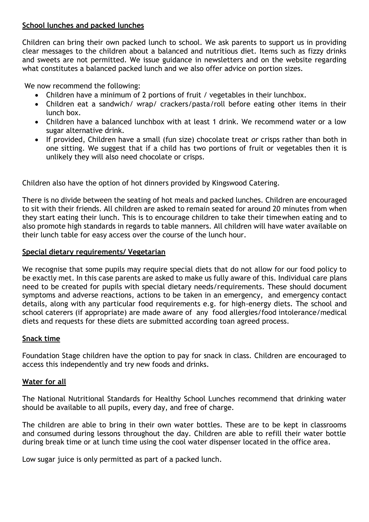## **School lunches and packed lunches**

Children can bring their own packed lunch to school. We ask parents to support us in providing clear messages to the children about a balanced and nutritious diet. Items such as fizzy drinks and sweets are not permitted. We issue guidance in newsletters and on the website regarding what constitutes a balanced packed lunch and we also offer advice on portion sizes.

We now recommend the following:

- Children have a minimum of 2 portions of fruit / vegetables in their lunchbox.
- Children eat a sandwich/ wrap/ crackers/pasta/roll before eating other items in their lunch box.
- Children have a balanced lunchbox with at least 1 drink. We recommend water or a low sugar alternative drink.
- If provided, Children have a small (fun size) chocolate treat *or* crisps rather than both in one sitting. We suggest that if a child has two portions of fruit or vegetables then it is unlikely they will also need chocolate or crisps.

Children also have the option of hot dinners provided by Kingswood Catering.

There is no divide between the seating of hot meals and packed lunches. Children are encouraged to sit with their friends. All children are asked to remain seated for around 20 minutes from when they start eating their lunch. This is to encourage children to take their timewhen eating and to also promote high standards in regards to table manners. All children will have water available on their lunch table for easy access over the course of the lunch hour.

## **Special dietary requirements/ Vegetarian**

We recognise that some pupils may require special diets that do not allow for our food policy to be exactly met. In this case parents are asked to make us fully aware of this. Individual care plans need to be created for pupils with special dietary needs/requirements. These should document symptoms and adverse reactions, actions to be taken in an emergency, and emergency contact details, along with any particular food requirements e.g. for high-energy diets. The school and school caterers (if appropriate) are made aware of any food allergies/food intolerance/medical diets and requests for these diets are submitted according toan agreed process.

#### **Snack time**

Foundation Stage children have the option to pay for snack in class. Children are encouraged to access this independently and try new foods and drinks.

## **Water for all**

The National Nutritional Standards for Healthy School Lunches recommend that drinking water should be available to all pupils, every day, and free of charge.

The children are able to bring in their own water bottles. These are to be kept in classrooms and consumed during lessons throughout the day. Children are able to refill their water bottle during break time or at lunch time using the cool water dispenser located in the office area.

Low sugar juice is only permitted as part of a packed lunch.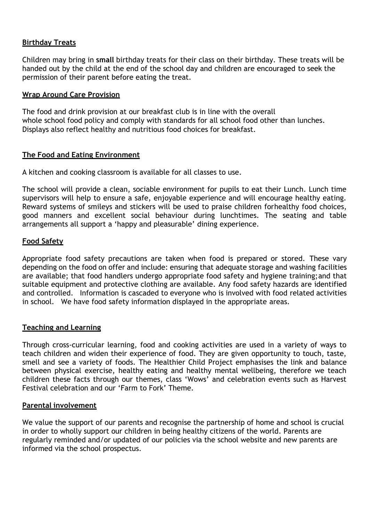## **Birthday Treats**

Children may bring in **small** birthday treats for their class on their birthday. These treats will be handed out by the child at the end of the school day and children are encouraged to seek the permission of their parent before eating the treat.

#### **Wrap Around Care Provision**

The food and drink provision at our breakfast club is in line with the overall whole school food policy and comply with standards for all school food other than lunches. Displays also reflect healthy and nutritious food choices for breakfast.

## **The Food and Eating Environment**

A kitchen and cooking classroom is available for all classes to use.

The school will provide a clean, sociable environment for pupils to eat their Lunch. Lunch time supervisors will help to ensure a safe, enjoyable experience and will encourage healthy eating. Reward systems of smileys and stickers will be used to praise children forhealthy food choices, good manners and excellent social behaviour during lunchtimes. The seating and table arrangements all support a 'happy and pleasurable' dining experience.

#### **Food Safety**

Appropriate food safety precautions are taken when food is prepared or stored. These vary depending on the food on offer and include: ensuring that adequate storage and washing facilities are available; that food handlers undergo appropriate food safety and hygiene training;and that suitable equipment and protective clothing are available. Any food safety hazards are identified and controlled. Information is cascaded to everyone who is involved with food related activities in school. We have food safety information displayed in the appropriate areas.

#### **Teaching and Learning**

Through cross-curricular learning, food and cooking activities are used in a variety of ways to teach children and widen their experience of food. They are given opportunity to touch, taste, smell and see a variety of foods. The Healthier Child Project emphasises the link and balance between physical exercise, healthy eating and healthy mental wellbeing, therefore we teach children these facts through our themes, class 'Wows' and celebration events such as Harvest Festival celebration and our 'Farm to Fork' Theme.

#### **Parental involvement**

We value the support of our parents and recognise the partnership of home and school is crucial in order to wholly support our children in being healthy citizens of the world. Parents are regularly reminded and/or updated of our policies via the school website and new parents are informed via the school prospectus.